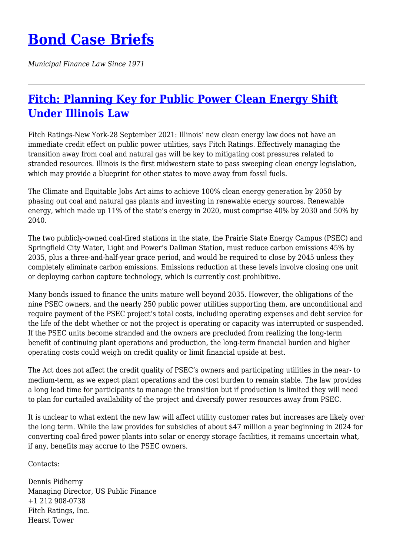## **[Bond Case Briefs](https://bondcasebriefs.com)**

*Municipal Finance Law Since 1971*

## **[Fitch: Planning Key for Public Power Clean Energy Shift](https://bondcasebriefs.com/2021/10/05/news/fitch-planning-key-for-public-power-clean-energy-shift-under-illinois-law/) [Under Illinois Law](https://bondcasebriefs.com/2021/10/05/news/fitch-planning-key-for-public-power-clean-energy-shift-under-illinois-law/)**

Fitch Ratings-New York-28 September 2021: Illinois' new clean energy law does not have an immediate credit effect on public power utilities, says Fitch Ratings. Effectively managing the transition away from coal and natural gas will be key to mitigating cost pressures related to stranded resources. Illinois is the first midwestern state to pass sweeping clean energy legislation, which may provide a blueprint for other states to move away from fossil fuels.

The Climate and Equitable Jobs Act aims to achieve 100% clean energy generation by 2050 by phasing out coal and natural gas plants and investing in renewable energy sources. Renewable energy, which made up 11% of the state's energy in 2020, must comprise 40% by 2030 and 50% by 2040.

The two publicly-owned coal-fired stations in the state, the Prairie State Energy Campus (PSEC) and Springfield City Water, Light and Power's Dallman Station, must reduce carbon emissions 45% by 2035, plus a three-and-half-year grace period, and would be required to close by 2045 unless they completely eliminate carbon emissions. Emissions reduction at these levels involve closing one unit or deploying carbon capture technology, which is currently cost prohibitive.

Many bonds issued to finance the units mature well beyond 2035. However, the obligations of the nine PSEC owners, and the nearly 250 public power utilities supporting them, are unconditional and require payment of the PSEC project's total costs, including operating expenses and debt service for the life of the debt whether or not the project is operating or capacity was interrupted or suspended. If the PSEC units become stranded and the owners are precluded from realizing the long-term benefit of continuing plant operations and production, the long-term financial burden and higher operating costs could weigh on credit quality or limit financial upside at best.

The Act does not affect the credit quality of PSEC's owners and participating utilities in the near- to medium-term, as we expect plant operations and the cost burden to remain stable. The law provides a long lead time for participants to manage the transition but if production is limited they will need to plan for curtailed availability of the project and diversify power resources away from PSEC.

It is unclear to what extent the new law will affect utility customer rates but increases are likely over the long term. While the law provides for subsidies of about \$47 million a year beginning in 2024 for converting coal-fired power plants into solar or energy storage facilities, it remains uncertain what, if any, benefits may accrue to the PSEC owners.

Contacts:

Dennis Pidherny Managing Director, US Public Finance +1 212 908-0738 Fitch Ratings, Inc. Hearst Tower